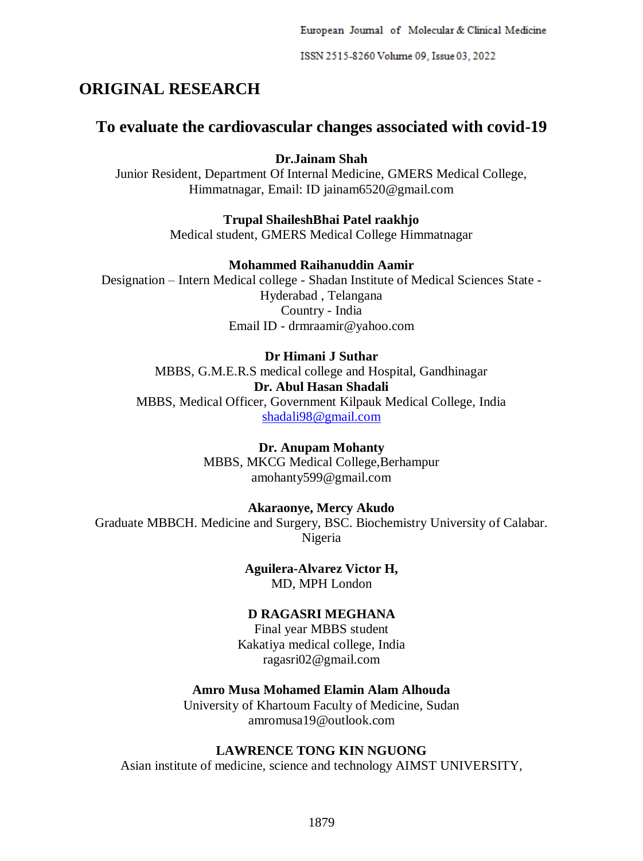European Journal of Molecular & Clinical Medicine

ISSN 2515-8260 Volume 09, Issue 03, 2022

# **ORIGINAL RESEARCH**

# **To evaluate the cardiovascular changes associated with covid-19**

**Dr.Jainam Shah**

Junior Resident, Department Of Internal Medicine, GMERS Medical College, Himmatnagar, Email: ID jainam6520@gmail.com

**Trupal ShaileshBhai Patel raakhjo**

Medical student, GMERS Medical College Himmatnagar

# **Mohammed Raihanuddin Aamir**

Designation – Intern Medical college - Shadan Institute of Medical Sciences State - Hyderabad , Telangana Country - India Email ID - drmraamir@yahoo.com

# **Dr Himani J Suthar**

MBBS, G.M.E.R.S medical college and Hospital, Gandhinagar **Dr. Abul Hasan Shadali** MBBS, Medical Officer, Government Kilpauk Medical College, India [shadali98@gmail.com](mailto:shadali98@gmail.com)

> **Dr. Anupam Mohanty** MBBS, MKCG Medical College,Berhampur amohanty599@gmail.com

# **Akaraonye, Mercy Akudo**

Graduate MBBCH. Medicine and Surgery, BSC. Biochemistry University of Calabar. Nigeria

> **Aguilera-Alvarez Victor H,** MD, MPH London

# **D RAGASRI MEGHANA**

Final year MBBS student Kakatiya medical college, India ragasri02@gmail.com

# **Amro Musa Mohamed Elamin Alam Alhouda**

University of Khartoum Faculty of Medicine, Sudan amromusa19@outlook.com

# **LAWRENCE TONG KIN NGUONG**

Asian institute of medicine, science and technology AIMST UNIVERSITY,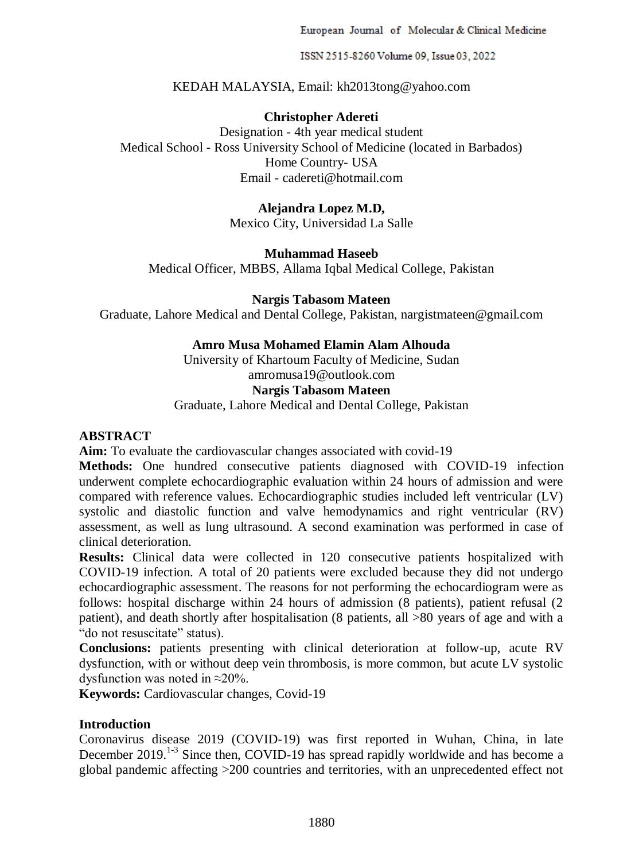European Journal of Molecular & Clinical Medicine

ISSN 2515-8260 Volume 09, Issue 03, 2022

KEDAH MALAYSIA, Email: kh2013tong@yahoo.com

# **Christopher Adereti**

Designation - 4th year medical student Medical School - Ross University School of Medicine (located in Barbados) Home Country- USA Email - cadereti@hotmail.com

### **Alejandra Lopez M.D,**

Mexico City, Universidad La Salle

### **Muhammad Haseeb**

Medical Officer, MBBS, Allama Iqbal Medical College, Pakistan

## **Nargis Tabasom Mateen**

Graduate, Lahore Medical and Dental College, Pakistan, nargistmateen@gmail.com

## **Amro Musa Mohamed Elamin Alam Alhouda**

University of Khartoum Faculty of Medicine, Sudan amromusa19@outlook.com

### **Nargis Tabasom Mateen**

Graduate, Lahore Medical and Dental College, Pakistan

### **ABSTRACT**

**Aim:** To evaluate the cardiovascular changes associated with covid-19

**Methods:** One hundred consecutive patients diagnosed with COVID-19 infection underwent complete echocardiographic evaluation within 24 hours of admission and were compared with reference values. Echocardiographic studies included left ventricular (LV) systolic and diastolic function and valve hemodynamics and right ventricular (RV) assessment, as well as lung ultrasound. A second examination was performed in case of clinical deterioration.

**Results:** Clinical data were collected in 120 consecutive patients hospitalized with COVID-19 infection. A total of 20 patients were excluded because they did not undergo echocardiographic assessment. The reasons for not performing the echocardiogram were as follows: hospital discharge within 24 hours of admission (8 patients), patient refusal (2 patient), and death shortly after hospitalisation (8 patients, all >80 years of age and with a "do not resuscitate" status).

**Conclusions:** patients presenting with clinical deterioration at follow-up, acute RV dysfunction, with or without deep vein thrombosis, is more common, but acute LV systolic dysfunction was noted in ≈20%.

**Keywords:** Cardiovascular changes, Covid-19

## **Introduction**

Coronavirus disease 2019 (COVID-19) was first reported in Wuhan, China, in late December  $2019$ <sup>1-3</sup> Since then, COVID-19 has spread rapidly worldwide and has become a global pandemic affecting >200 countries and territories, with an unprecedented effect not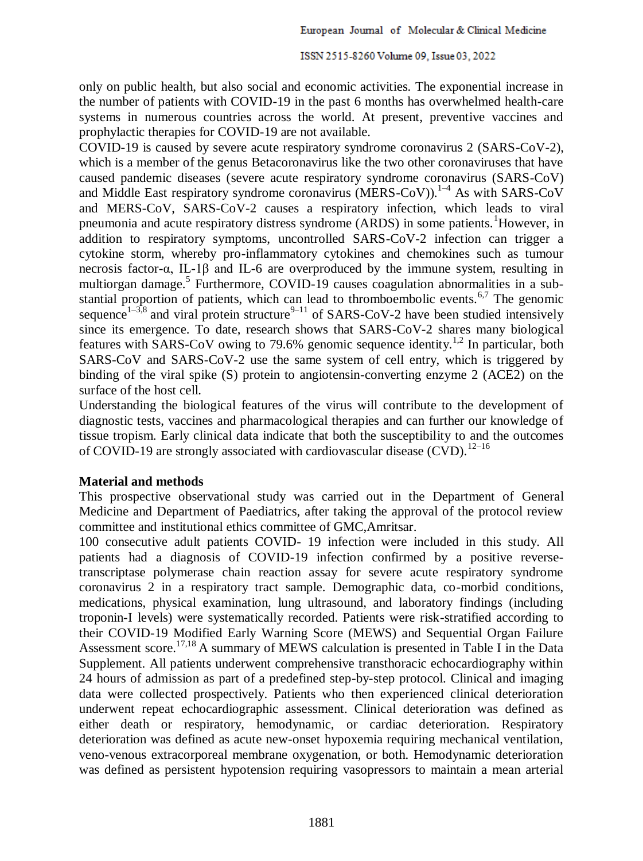only on public health, but also social and economic activities. The exponential increase in the number of patients with COVID-19 in the past 6 months has overwhelmed health-care systems in numerous countries across the world. At present, preventive vaccines and prophylactic therapies for COVID-19 are not available.

COVID-19 is caused by severe acute respiratory syndrome coronavirus 2 (SARS-CoV-2), which is a member of the genus Betacoronavirus like the two other coronaviruses that have caused pandemic diseases (severe acute respiratory syndrome coronavirus (SARS-CoV) and Middle East respiratory syndrome coronavirus (MERS-CoV)).<sup>1-4</sup> As with SARS-CoV and MERS-CoV, SARS-CoV-2 causes a respiratory infection, which leads to viral pneumonia and acute respiratory distress syndrome (ARDS) in some patients.<sup>1</sup>However, in addition to respiratory symptoms, uncontrolled SARS-CoV-2 infection can trigger a cytokine storm, whereby pro-inflammatory cytokines and chemokines such as tumour necrosis factor-α, IL-1β and IL-6 are overproduced by the immune system, resulting in multiorgan damage.<sup>5</sup> Furthermore, COVID-19 causes coagulation abnormalities in a substantial proportion of patients, which can lead to thromboembolic events.<sup>6,7</sup> The genomic sequence<sup>1-3,8</sup> and viral protein structure<sup>9-11</sup> of SARS-CoV-2 have been studied intensively since its emergence. To date, research shows that SARS-CoV-2 shares many biological features with SARS-CoV owing to 79.6% genomic sequence identity.<sup>1,2</sup> In particular, both SARS-CoV and SARS-CoV-2 use the same system of cell entry, which is triggered by binding of the viral spike (S) protein to angiotensin-converting enzyme 2 (ACE2) on the surface of the host cell.

Understanding the biological features of the virus will contribute to the development of diagnostic tests, vaccines and pharmacological therapies and can further our knowledge of tissue tropism. Early clinical data indicate that both the susceptibility to and the outcomes of COVID-19 are strongly associated with cardiovascular disease (CVD).<sup>12–16</sup>

### **Material and methods**

This prospective observational study was carried out in the Department of General Medicine and Department of Paediatrics, after taking the approval of the protocol review committee and institutional ethics committee of GMC,Amritsar.

100 consecutive adult patients COVID- 19 infection were included in this study. All patients had a diagnosis of COVID-19 infection confirmed by a positive reversetranscriptase polymerase chain reaction assay for severe acute respiratory syndrome coronavirus 2 in a respiratory tract sample. Demographic data, co-morbid conditions, medications, physical examination, lung ultrasound, and laboratory findings (including troponin-I levels) were systematically recorded. Patients were risk-stratified according to their COVID-19 Modified Early Warning Score (MEWS) and Sequential Organ Failure Assessment score.17,18 A summary of MEWS calculation is presented in Table I in the Data Supplement. All patients underwent comprehensive transthoracic echocardiography within 24 hours of admission as part of a predefined step-by-step protocol. Clinical and imaging data were collected prospectively. Patients who then experienced clinical deterioration underwent repeat echocardiographic assessment. Clinical deterioration was defined as either death or respiratory, hemodynamic, or cardiac deterioration. Respiratory deterioration was defined as acute new-onset hypoxemia requiring mechanical ventilation, veno-venous extracorporeal membrane oxygenation, or both. Hemodynamic deterioration was defined as persistent hypotension requiring vasopressors to maintain a mean arterial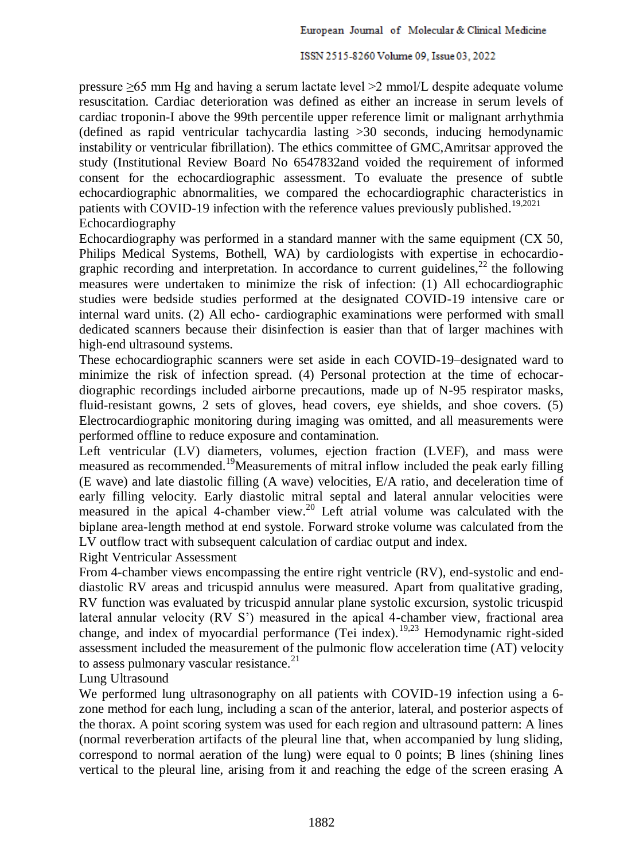pressure  $\geq 65$  mm Hg and having a serum lactate level  $\geq 2$  mmol/L despite adequate volume resuscitation. Cardiac deterioration was defined as either an increase in serum levels of cardiac troponin-I above the 99th percentile upper reference limit or malignant arrhythmia (defined as rapid ventricular tachycardia lasting >30 seconds, inducing hemodynamic instability or ventricular fibrillation). The ethics committee of GMC,Amritsar approved the study (Institutional Review Board No 6547832and voided the requirement of informed consent for the echocardiographic assessment. To evaluate the presence of subtle echocardiographic abnormalities, we compared the echocardiographic characteristics in patients with COVID-19 infection with the reference values previously published.<sup>19,2021</sup> Echocardiography

Echocardiography was performed in a standard manner with the same equipment (CX 50, Philips Medical Systems, Bothell, WA) by cardiologists with expertise in echocardiographic recording and interpretation. In accordance to current guidelines,<sup>22</sup> the following measures were undertaken to minimize the risk of infection: (1) All echocardiographic studies were bedside studies performed at the designated COVID-19 intensive care or internal ward units. (2) All echo- cardiographic examinations were performed with small dedicated scanners because their disinfection is easier than that of larger machines with high-end ultrasound systems.

These echocardiographic scanners were set aside in each COVID-19–designated ward to minimize the risk of infection spread. (4) Personal protection at the time of echocardiographic recordings included airborne precautions, made up of N-95 respirator masks, fluid-resistant gowns, 2 sets of gloves, head covers, eye shields, and shoe covers. (5) Electrocardiographic monitoring during imaging was omitted, and all measurements were performed offline to reduce exposure and contamination.

Left ventricular (LV) diameters, volumes, ejection fraction (LVEF), and mass were measured as recommended.<sup>19</sup>Measurements of mitral inflow included the peak early filling (E wave) and late diastolic filling (A wave) velocities, E/A ratio, and deceleration time of early filling velocity. Early diastolic mitral septal and lateral annular velocities were measured in the apical 4-chamber view.<sup>20</sup> Left atrial volume was calculated with the biplane area-length method at end systole. Forward stroke volume was calculated from the LV outflow tract with subsequent calculation of cardiac output and index.

Right Ventricular Assessment

From 4-chamber views encompassing the entire right ventricle (RV), end-systolic and enddiastolic RV areas and tricuspid annulus were measured. Apart from qualitative grading, RV function was evaluated by tricuspid annular plane systolic excursion, systolic tricuspid lateral annular velocity (RV S') measured in the apical 4-chamber view, fractional area change, and index of myocardial performance (Tei index).19,23 Hemodynamic right-sided assessment included the measurement of the pulmonic flow acceleration time (AT) velocity to assess pulmonary vascular resistance.<sup>21</sup>

Lung Ultrasound

We performed lung ultrasonography on all patients with COVID-19 infection using a 6 zone method for each lung, including a scan of the anterior, lateral, and posterior aspects of the thorax. A point scoring system was used for each region and ultrasound pattern: A lines (normal reverberation artifacts of the pleural line that, when accompanied by lung sliding, correspond to normal aeration of the lung) were equal to 0 points; B lines (shining lines vertical to the pleural line, arising from it and reaching the edge of the screen erasing A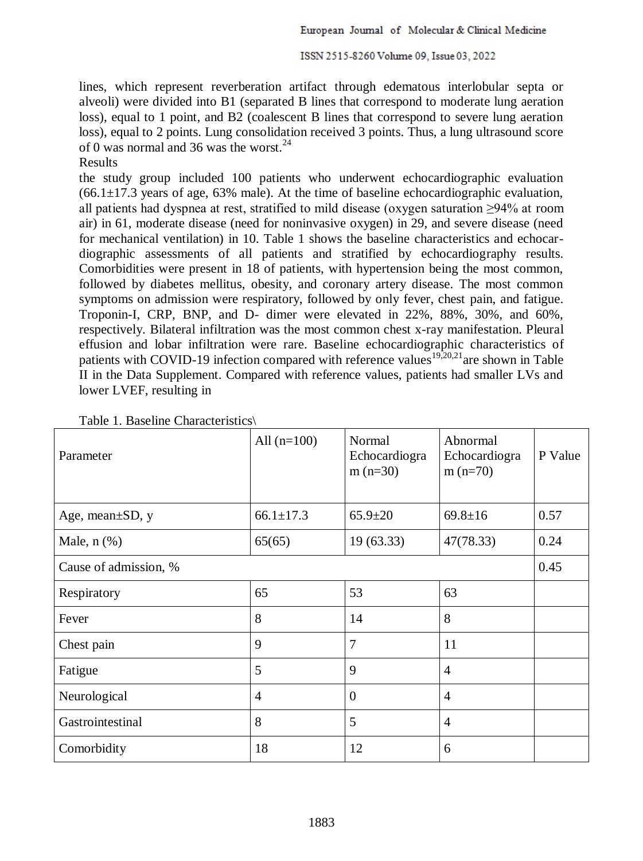lines, which represent reverberation artifact through edematous interlobular septa or alveoli) were divided into B1 (separated B lines that correspond to moderate lung aeration loss), equal to 1 point, and B2 (coalescent B lines that correspond to severe lung aeration loss), equal to 2 points. Lung consolidation received 3 points. Thus, a lung ultrasound score of 0 was normal and 36 was the worst. $^{24}$ 

Results

the study group included 100 patients who underwent echocardiographic evaluation  $(66.1\pm17.3$  years of age, 63% male). At the time of baseline echocardiographic evaluation, all patients had dyspnea at rest, stratified to mild disease (oxygen saturation ≥94% at room air) in 61, moderate disease (need for noninvasive oxygen) in 29, and severe disease (need for mechanical ventilation) in 10. Table 1 shows the baseline characteristics and echocardiographic assessments of all patients and stratified by echocardiography results. Comorbidities were present in 18 of patients, with hypertension being the most common, followed by diabetes mellitus, obesity, and coronary artery disease. The most common symptoms on admission were respiratory, followed by only fever, chest pain, and fatigue. Troponin-I, CRP, BNP, and D- dimer were elevated in 22%, 88%, 30%, and 60%, respectively. Bilateral infiltration was the most common chest x-ray manifestation. Pleural effusion and lobar infiltration were rare. Baseline echocardiographic characteristics of patients with COVID-19 infection compared with reference values<sup>19,20,21</sup>are shown in Table II in the Data Supplement. Compared with reference values, patients had smaller LVs and lower LVEF, resulting in

| Parameter              | All $(n=100)$   | Normal<br>Echocardiogra<br>$m(n=30)$ | Abnormal<br>Echocardiogra<br>$m(n=70)$ | P Value |
|------------------------|-----------------|--------------------------------------|----------------------------------------|---------|
| Age, mean $\pm SD$ , y | $66.1 \pm 17.3$ | $65.9 \pm 20$                        | $69.8 \pm 16$                          | 0.57    |
| Male, $n$ $(\%)$       | 65(65)          | 19(63.33)                            | 47(78.33)                              | 0.24    |
| Cause of admission, %  |                 |                                      |                                        | 0.45    |
| Respiratory            | 65              | 53                                   | 63                                     |         |
| Fever                  | 8               | 14                                   | 8                                      |         |
| Chest pain             | 9               | $\overline{7}$                       | 11                                     |         |
| Fatigue                | 5               | 9                                    | $\overline{4}$                         |         |
| Neurological           | $\overline{4}$  | $\Omega$                             | $\overline{4}$                         |         |
| Gastrointestinal       | 8               | 5                                    | $\overline{4}$                         |         |
| Comorbidity            | 18              | 12                                   | 6                                      |         |

Table 1. Baseline Characteristics\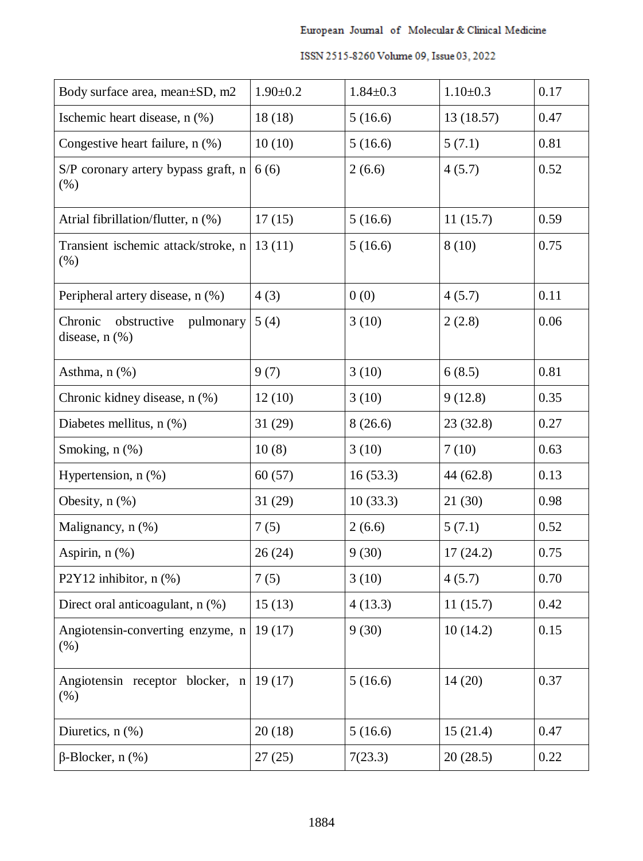| Body surface area, mean±SD, m2                             | $1.90 \pm 0.2$ | $1.84 \pm 0.3$ | $1.10 \pm 0.3$ | 0.17 |
|------------------------------------------------------------|----------------|----------------|----------------|------|
| Ischemic heart disease, n (%)                              | 18(18)         | 5(16.6)        | 13 (18.57)     | 0.47 |
| Congestive heart failure, n (%)                            | 10(10)         | 5(16.6)        | 5(7.1)         | 0.81 |
| S/P coronary artery bypass graft, n<br>(% )                | 6(6)           | 2(6.6)         | 4(5.7)         | 0.52 |
| Atrial fibrillation/flutter, n (%)                         | 17(15)         | 5(16.6)        | 11(15.7)       | 0.59 |
| Transient ischemic attack/stroke, n<br>(% )                | 13(11)         | 5(16.6)        | 8(10)          | 0.75 |
| Peripheral artery disease, n (%)                           | 4(3)           | 0(0)           | 4(5.7)         | 0.11 |
| Chronic<br>obstructive<br>pulmonary<br>disease, $n$ $(\%)$ | 5(4)           | 3(10)          | 2(2.8)         | 0.06 |
| Asthma, $n$ $(\%)$                                         | 9(7)           | 3(10)          | 6(8.5)         | 0.81 |
| Chronic kidney disease, n (%)                              | 12(10)         | 3(10)          | 9(12.8)        | 0.35 |
| Diabetes mellitus, n (%)                                   | 31(29)         | 8(26.6)        | 23(32.8)       | 0.27 |
| Smoking, n (%)                                             | 10(8)          | 3(10)          | 7(10)          | 0.63 |
| Hypertension, $n$ $(\%)$                                   | 60(57)         | 16(53.3)       | 44 (62.8)      | 0.13 |
| Obesity, $n$ $(\%)$                                        | 31(29)         | 10(33.3)       | 21(30)         | 0.98 |
| Malignancy, n (%)                                          | 7(5)           | 2(6.6)         | 5(7.1)         | 0.52 |
| Aspirin, $n$ $(\%)$                                        | 26(24)         | 9(30)          | 17(24.2)       | 0.75 |
| P2Y12 inhibitor, $n$ (%)                                   | 7(5)           | 3(10)          | 4(5.7)         | 0.70 |
| Direct oral anticoagulant, n (%)                           | 15(13)         | 4(13.3)        | 11(15.7)       | 0.42 |
| Angiotensin-converting enzyme, n<br>(% )                   | 19(17)         | 9(30)          | 10(14.2)       | 0.15 |
| Angiotensin receptor blocker, n<br>(% )                    | 19(17)         | 5(16.6)        | 14(20)         | 0.37 |
| Diuretics, $n$ $(\%)$                                      | 20(18)         | 5(16.6)        | 15(21.4)       | 0.47 |
| $\beta$ -Blocker, n $(\%)$                                 | 27(25)         | 7(23.3)        | 20(28.5)       | 0.22 |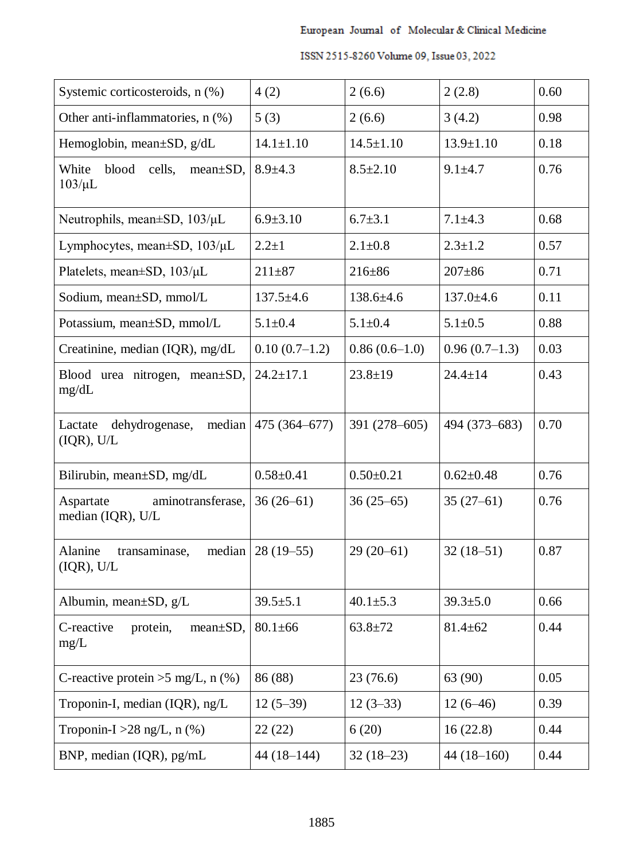| Systemic corticosteroids, n (%)                            | 4(2)            | 2(6.6)          | 2(2.8)          | 0.60 |
|------------------------------------------------------------|-----------------|-----------------|-----------------|------|
| Other anti-inflammatories, n (%)                           | 5(3)            | 2(6.6)          | 3(4.2)          | 0.98 |
| Hemoglobin, mean±SD, g/dL                                  | $14.1 \pm 1.10$ | $14.5 \pm 1.10$ | $13.9 \pm 1.10$ | 0.18 |
| cells,<br>White<br>blood<br>$mean \pm SD$ ,<br>$103/\mu L$ | $8.9 \pm 4.3$   | $8.5 \pm 2.10$  | $9.1 \pm 4.7$   | 0.76 |
| Neutrophils, mean $\pm$ SD, 103/ $\mu$ L                   | $6.9 \pm 3.10$  | $6.7 \pm 3.1$   | $7.1 \pm 4.3$   | 0.68 |
| Lymphocytes, mean $\pm$ SD, 103/ $\mu$ L                   | $2.2 + 1$       | $2.1 \pm 0.8$   | $2.3 \pm 1.2$   | 0.57 |
| Platelets, mean±SD, 103/µL                                 | $211 + 87$      | $216 \pm 86$    | $207 + 86$      | 0.71 |
| Sodium, mean±SD, mmol/L                                    | $137.5 \pm 4.6$ | 138.6±4.6       | $137.0 \pm 4.6$ | 0.11 |
| Potassium, mean±SD, mmol/L                                 | $5.1 \pm 0.4$   | $5.1 \pm 0.4$   | $5.1 \pm 0.5$   | 0.88 |
| Creatinine, median $(IQR)$ , mg/dL                         | $0.10(0.7-1.2)$ | $0.86(0.6-1.0)$ | $0.96(0.7-1.3)$ | 0.03 |
| Blood urea nitrogen,<br>$mean \pm SD$ ,<br>mg/dL           | $24.2 \pm 17.1$ | $23.8 \pm 19$   | $24.4 \pm 14$   | 0.43 |
| median<br>Lactate<br>dehydrogenase,<br>(IQR), U/L          | 475 (364-677)   | 391 (278-605)   | 494 (373-683)   | 0.70 |
| Bilirubin, mean±SD, mg/dL                                  | $0.58 \pm 0.41$ | $0.50 \pm 0.21$ | $0.62 \pm 0.48$ | 0.76 |
| Aspartate<br>aminotransferase,<br>median (IQR), U/L        | $36(26-61)$     | $36(25-65)$     | $35(27-61)$     | 0.76 |
| transaminase,<br>median<br>Alanine<br>(IQR), U/L           | $28(19-55)$     | $29(20-61)$     | $32(18-51)$     | 0.87 |
| Albumin, mean±SD, g/L                                      | $39.5 \pm 5.1$  | $40.1 \pm 5.3$  | $39.3 \pm 5.0$  | 0.66 |
| C-reactive<br>protein,<br>$mean \pm SD$ ,<br>mg/L          | $80.1 \pm 66$   | $63.8 + 72$     | $81.4 \pm 62$   | 0.44 |
| C-reactive protein $>5$ mg/L, n (%)                        | 86 (88)         | 23(76.6)        | 63 (90)         | 0.05 |
| Troponin-I, median $(IQR)$ , ng/L                          | $12(5-39)$      | $12(3-33)$      | $12(6-46)$      | 0.39 |
| Troponin-I > $28 \text{ ng/L}$ , n (%)                     | 22(22)          | 6(20)           | 16(22.8)        | 0.44 |
| BNP, median (IQR), pg/mL                                   | $44(18-144)$    | $32(18-23)$     | $44(18-160)$    | 0.44 |

| ISSN 2515-8260 Volume 09, Issue 03, 2022 |  |
|------------------------------------------|--|
|------------------------------------------|--|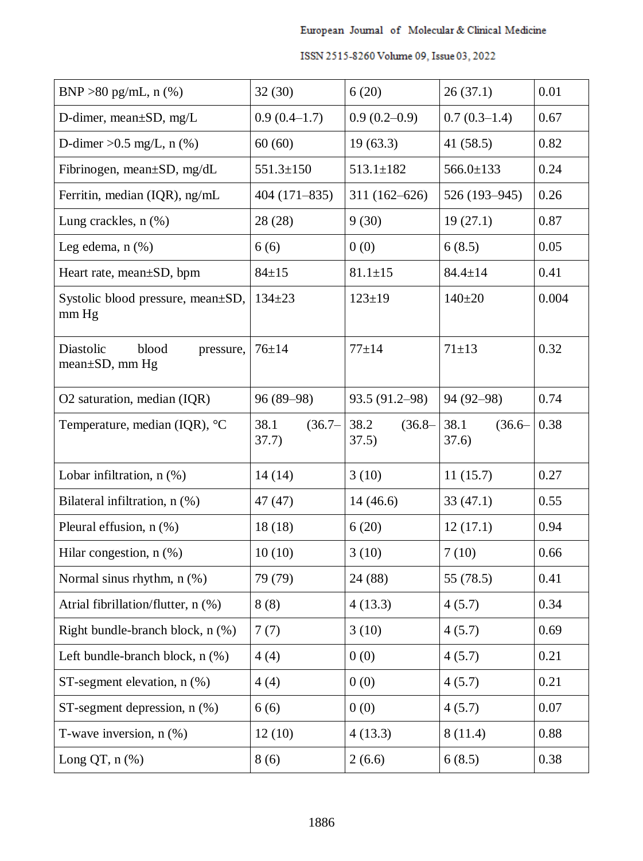| BNP > 80 pg/mL, $n$ (%)                           | 32(30)                     | 6(20)                      | 26(37.1)                   | 0.01  |
|---------------------------------------------------|----------------------------|----------------------------|----------------------------|-------|
| D-dimer, mean $\pm SD$ , mg/L                     | $0.9(0.4-1.7)$             | $0.9(0.2-0.9)$             | $0.7(0.3-1.4)$             | 0.67  |
| D-dimer $>0.5$ mg/L, n (%)                        | 60(60)                     | 19(63.3)                   | 41 $(58.5)$                | 0.82  |
| Fibrinogen, mean±SD, mg/dL                        | $551.3 \pm 150$            | $513.1 \pm 182$            | $566.0 \pm 133$            | 0.24  |
| Ferritin, median (IQR), ng/mL                     | $404(171-835)$             | $311(162 - 626)$           | 526 (193-945)              | 0.26  |
| Lung crackles, $n$ $(\%)$                         | 28 (28)                    | 9(30)                      | 19(27.1)                   | 0.87  |
| Leg edema, $n$ $(\%)$                             | 6(6)                       | 0(0)                       | 6(8.5)                     | 0.05  |
| Heart rate, mean±SD, bpm                          | $84 \pm 15$                | $81.1 \pm 15$              | $84.4 \pm 14$              | 0.41  |
| Systolic blood pressure, mean±SD,<br>$mm$ Hg      | $134 \pm 23$               | $123 \pm 19$               | $140+20$                   | 0.004 |
| blood<br>Diastolic<br>pressure,<br>mean±SD, mm Hg | $76 \pm 14$                | $77 + 14$                  | $71 + 13$                  | 0.32  |
| O2 saturation, median (IQR)                       | 96 (89-98)                 | 93.5 (91.2–98)             | 94 (92-98)                 | 0.74  |
| Temperature, median (IQR), $^{\circ}C$            | 38.1<br>$(36.7 -$<br>37.7) | 38.2<br>$(36.8 -$<br>37.5) | 38.1<br>$(36.6 -$<br>37.6) | 0.38  |
| Lobar infiltration, $n$ $(\%)$                    | 14(14)                     | 3(10)                      | 11(15.7)                   | 0.27  |
| Bilateral infiltration, n (%)                     | 47 (47)                    | 14(46.6)                   | 33(47.1)                   | 0.55  |
| Pleural effusion, n (%)                           | 18(18)                     | 6(20)                      | 12(17.1)                   | 0.94  |
| Hilar congestion, $n$ (%)                         | 10(10)                     | 3(10)                      | 7(10)                      | 0.66  |
| Normal sinus rhythm, n (%)                        | 79 (79)                    | 24 (88)                    | 55 (78.5)                  | 0.41  |
| Atrial fibrillation/flutter, n (%)                | 8(8)                       | 4(13.3)                    | 4(5.7)                     | 0.34  |
| Right bundle-branch block, n (%)                  | 7(7)                       | 3(10)                      | 4(5.7)                     | 0.69  |
| Left bundle-branch block, $n$ $(\%)$              | 4(4)                       | 0(0)                       | 4(5.7)                     | 0.21  |
| ST-segment elevation, $n$ (%)                     | 4(4)                       | 0(0)                       | 4(5.7)                     | 0.21  |
| ST-segment depression, $n$ $(\%)$                 | 6(6)                       | 0(0)                       | 4(5.7)                     | 0.07  |
| T-wave inversion, $n$ $(\%)$                      | 12(10)                     | 4(13.3)                    | 8(11.4)                    | 0.88  |
| Long $QT$ , n $(\%)$                              | 8(6)                       | 2(6.6)                     | 6(8.5)                     | 0.38  |

| ISSN 2515-8260 Volume 09, Issue 03, 2022 |  |  |
|------------------------------------------|--|--|
|                                          |  |  |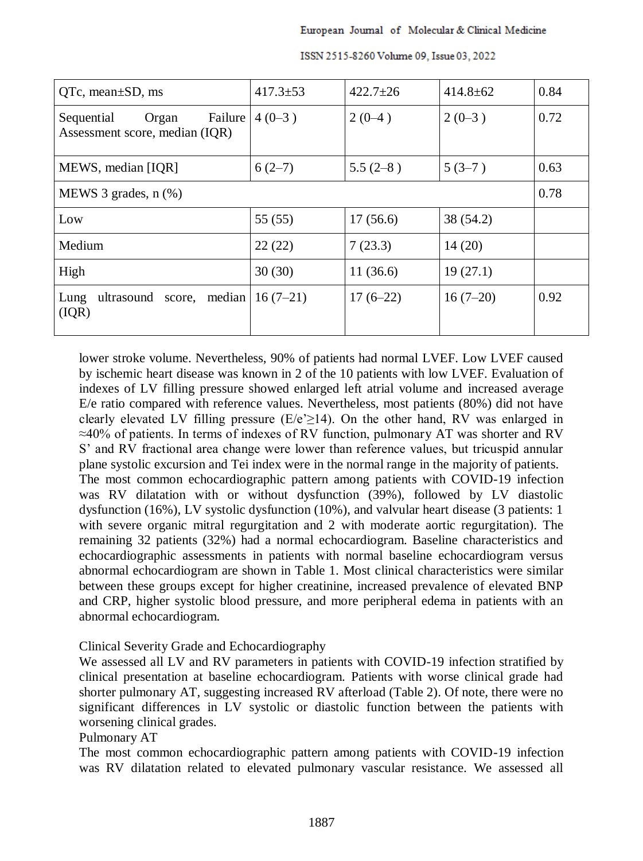| $QTe$ , mean $\pm SD$ , ms                                       | $417.3 \pm 53$ | $422.7 \pm 26$ | $414.8 \pm 62$ | 0.84 |
|------------------------------------------------------------------|----------------|----------------|----------------|------|
| Failure<br>Sequential<br>Organ<br>Assessment score, median (IQR) | $4(0-3)$       | $2(0-4)$       | $2(0-3)$       | 0.72 |
| MEWS, median [IQR]                                               | $6(2-7)$       | $5.5(2-8)$     | $5(3-7)$       | 0.63 |
| MEWS 3 grades, $n$ $(\%)$                                        |                |                |                | 0.78 |
| Low                                                              | 55(55)         | 17(56.6)       | 38 (54.2)      |      |
| Medium                                                           | 22(22)         | 7(23.3)        | 14(20)         |      |
| High                                                             | 30(30)         | 11(36.6)       | 19(27.1)       |      |
| ultrasound<br>median<br>Lung<br>score,<br>(IQR)                  | $16(7-21)$     | $17(6-22)$     | $16(7-20)$     | 0.92 |

ISSN 2515-8260 Volume 09, Issue 03, 2022

lower stroke volume. Nevertheless, 90% of patients had normal LVEF. Low LVEF caused by ischemic heart disease was known in 2 of the 10 patients with low LVEF. Evaluation of indexes of LV filling pressure showed enlarged left atrial volume and increased average E/e ratio compared with reference values. Nevertheless, most patients (80%) did not have clearly elevated LV filling pressure  $(E/e \geq 14)$ . On the other hand, RV was enlarged in ≈40% of patients. In terms of indexes of RV function, pulmonary AT was shorter and RV S' and RV fractional area change were lower than reference values, but tricuspid annular plane systolic excursion and Tei index were in the normal range in the majority of patients. The most common echocardiographic pattern among patients with COVID-19 infection was RV dilatation with or without dysfunction (39%), followed by LV diastolic dysfunction (16%), LV systolic dysfunction (10%), and valvular heart disease (3 patients: 1 with severe organic mitral regurgitation and 2 with moderate aortic regurgitation). The remaining 32 patients (32%) had a normal echocardiogram. Baseline characteristics and echocardiographic assessments in patients with normal baseline echocardiogram versus abnormal echocardiogram are shown in Table 1. Most clinical characteristics were similar between these groups except for higher creatinine, increased prevalence of elevated BNP and CRP, higher systolic blood pressure, and more peripheral edema in patients with an abnormal echocardiogram.

## Clinical Severity Grade and Echocardiography

We assessed all LV and RV parameters in patients with COVID-19 infection stratified by clinical presentation at baseline echocardiogram. Patients with worse clinical grade had shorter pulmonary AT, suggesting increased RV afterload (Table 2). Of note, there were no significant differences in LV systolic or diastolic function between the patients with worsening clinical grades.

## Pulmonary AT

The most common echocardiographic pattern among patients with COVID-19 infection was RV dilatation related to elevated pulmonary vascular resistance. We assessed all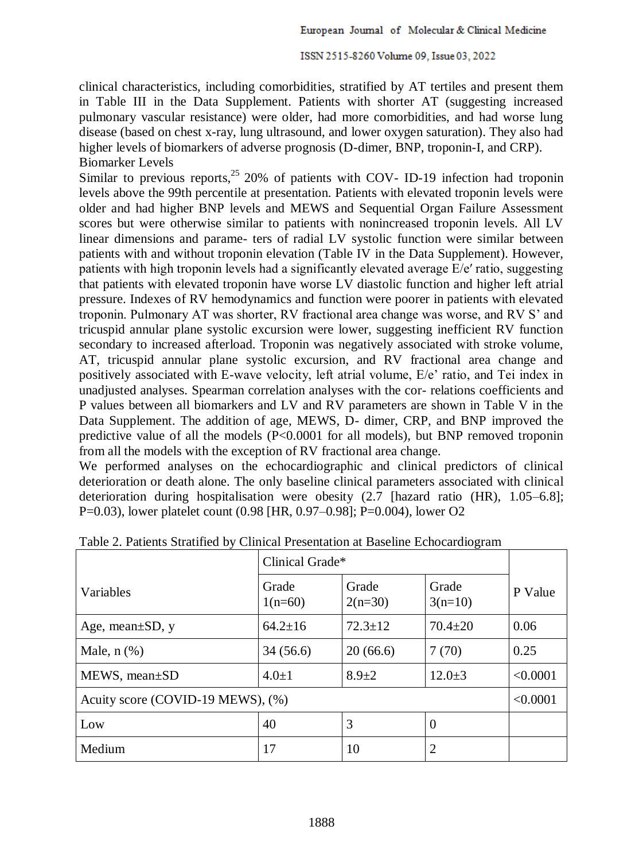clinical characteristics, including comorbidities, stratified by AT tertiles and present them in Table III in the Data Supplement. Patients with shorter AT (suggesting increased pulmonary vascular resistance) were older, had more comorbidities, and had worse lung disease (based on chest x-ray, lung ultrasound, and lower oxygen saturation). They also had higher levels of biomarkers of adverse prognosis (D-dimer, BNP, troponin-I, and CRP). Biomarker Levels

Similar to previous reports,  $2520\%$  of patients with COV- ID-19 infection had troponin levels above the 99th percentile at presentation. Patients with elevated troponin levels were older and had higher BNP levels and MEWS and Sequential Organ Failure Assessment scores but were otherwise similar to patients with nonincreased troponin levels. All LV linear dimensions and parame- ters of radial LV systolic function were similar between patients with and without troponin elevation (Table IV in the Data Supplement). However, patients with high troponin levels had a significantly elevated average E/e′ ratio, suggesting that patients with elevated troponin have worse LV diastolic function and higher left atrial pressure. Indexes of RV hemodynamics and function were poorer in patients with elevated troponin. Pulmonary AT was shorter, RV fractional area change was worse, and RV S' and tricuspid annular plane systolic excursion were lower, suggesting inefficient RV function secondary to increased afterload. Troponin was negatively associated with stroke volume, AT, tricuspid annular plane systolic excursion, and RV fractional area change and positively associated with E-wave velocity, left atrial volume, E/e' ratio, and Tei index in unadjusted analyses. Spearman correlation analyses with the cor- relations coefficients and P values between all biomarkers and LV and RV parameters are shown in Table V in the Data Supplement. The addition of age, MEWS, D- dimer, CRP, and BNP improved the predictive value of all the models (P<0.0001 for all models), but BNP removed troponin from all the models with the exception of RV fractional area change.

We performed analyses on the echocardiographic and clinical predictors of clinical deterioration or death alone. The only baseline clinical parameters associated with clinical deterioration during hospitalisation were obesity (2.7 [hazard ratio (HR), 1.05–6.8]; P=0.03), lower platelet count (0.98 [HR, 0.97–0.98]; P=0.004), lower O2

|                                   | Clinical Grade*    |                    |                    |          |
|-----------------------------------|--------------------|--------------------|--------------------|----------|
| Variables                         | Grade<br>$1(n=60)$ | Grade<br>$2(n=30)$ | Grade<br>$3(n=10)$ | P Value  |
| Age, mean $\pm SD$ , y            | $64.2 \pm 16$      | $72.3 \pm 12$      | $70.4 \pm 20$      | 0.06     |
| Male, $n$ $(\%)$                  | 34(56.6)           | 20(66.6)           | 7(70)              | 0.25     |
| $MEWS$ , mean $\pm SD$            | $4.0 \pm 1$        | $8.9 + 2$          | $12.0 \pm 3$       | < 0.0001 |
| Acuity score (COVID-19 MEWS), (%) |                    |                    |                    |          |
| Low                               | 40                 | 3                  | $\overline{0}$     |          |
| Medium                            | 17                 | 10                 | $\overline{2}$     |          |

Table 2. Patients Stratified by Clinical Presentation at Baseline Echocardiogram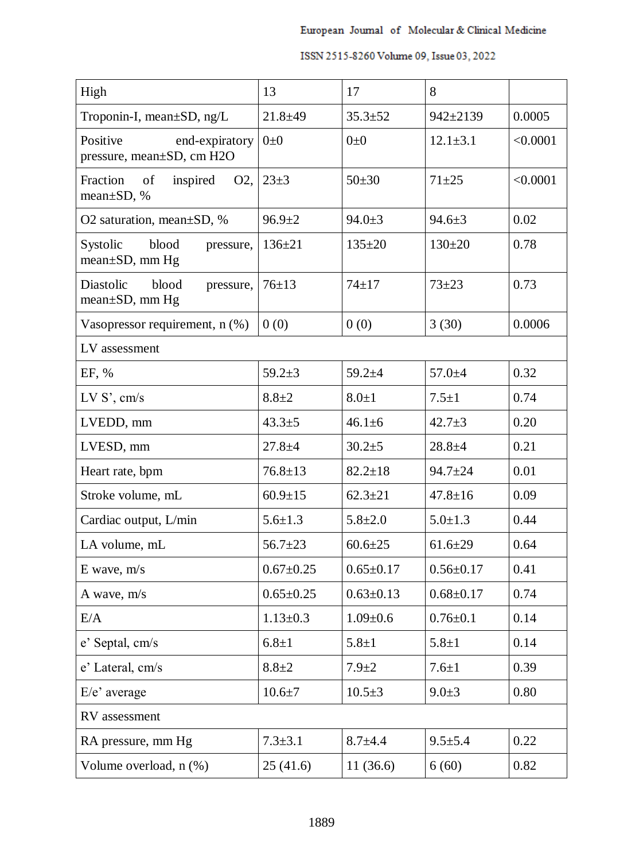| High                                                               | 13              | 17              | 8               |          |
|--------------------------------------------------------------------|-----------------|-----------------|-----------------|----------|
| Troponin-I, mean±SD, ng/L                                          | $21.8 + 49$     | $35.3 \pm 52$   | $942 \pm 2139$  | 0.0005   |
| Positive<br>end-expiratory<br>pressure, mean±SD, cm H2O            | $0\pm 0$        | $0\pm 0$        | $12.1 \pm 3.1$  | < 0.0001 |
| Fraction<br>inspired<br>of<br>O <sub>2</sub> ,<br>mean $\pm$ SD, % | $23 + 3$        | $50+30$         | $71 + 25$       | < 0.0001 |
| O2 saturation, mean $\pm$ SD, %                                    | $96.9 \pm 2$    | $94.0 \pm 3$    | $94.6 \pm 3$    | 0.02     |
| Systolic<br>blood<br>pressure,<br>$mean \pm SD$ , mm Hg            | $136 \pm 21$    | $135 \pm 20$    | $130 \pm 20$    | 0.78     |
| Diastolic<br>blood<br>pressure,<br>$mean \pm SD$ , mm Hg           | $76 \pm 13$     | $74 + 17$       | $73 + 23$       | 0.73     |
| Vasopressor requirement, n (%)                                     | 0(0)            | 0(0)            | 3(30)           | 0.0006   |
| LV assessment                                                      |                 |                 |                 |          |
| EF, %                                                              | $59.2 + 3$      | $59.2 + 4$      | $57.0 + 4$      | 0.32     |
| LVS', cm/s                                                         | $8.8 + 2$       | $8.0 \pm 1$     | $7.5 \pm 1$     | 0.74     |
| LVEDD, mm                                                          | $43.3 \pm 5$    | $46.1 \pm 6$    | $42.7 \pm 3$    | 0.20     |
| LVESD, mm                                                          | $27.8 + 4$      | $30.2 + 5$      | $28.8 + 4$      | 0.21     |
| Heart rate, bpm                                                    | $76.8 \pm 13$   | $82.2 \pm 18$   | $94.7 \pm 24$   | 0.01     |
| Stroke volume, mL                                                  | $60.9 \pm 15$   | $62.3 \pm 21$   | $47.8 \pm 16$   | 0.09     |
| Cardiac output, L/min                                              | $5.6 \pm 1.3$   | $5.8 \pm 2.0$   | $5.0 \pm 1.3$   | 0.44     |
| LA volume, mL                                                      | $56.7 \pm 23$   | $60.6 \pm 25$   | $61.6 \pm 29$   | 0.64     |
| $E$ wave, $m/s$                                                    | $0.67 \pm 0.25$ | $0.65 \pm 0.17$ | $0.56 \pm 0.17$ | 0.41     |
| A wave, m/s                                                        | $0.65 \pm 0.25$ | $0.63 \pm 0.13$ | $0.68 \pm 0.17$ | 0.74     |
| E/A                                                                | $1.13 \pm 0.3$  | $1.09 \pm 0.6$  | $0.76 \pm 0.1$  | 0.14     |
| e' Septal, cm/s                                                    | $6.8 + 1$       | $5.8 + 1$       | $5.8 + 1$       | 0.14     |
| e' Lateral, cm/s                                                   | $8.8 + 2$       | $7.9 + 2$       | $7.6 \pm 1$     | 0.39     |
| $E/e'$ average                                                     | $10.6 + 7$      | $10.5 \pm 3$    | $9.0 \pm 3$     | 0.80     |
| RV assessment                                                      |                 |                 |                 |          |
| RA pressure, mm Hg                                                 | $7.3 \pm 3.1$   | $8.7 + 4.4$     | $9.5 \pm 5.4$   | 0.22     |
| Volume overload, n (%)                                             | 25(41.6)        | 11(36.6)        | 6(60)           | 0.82     |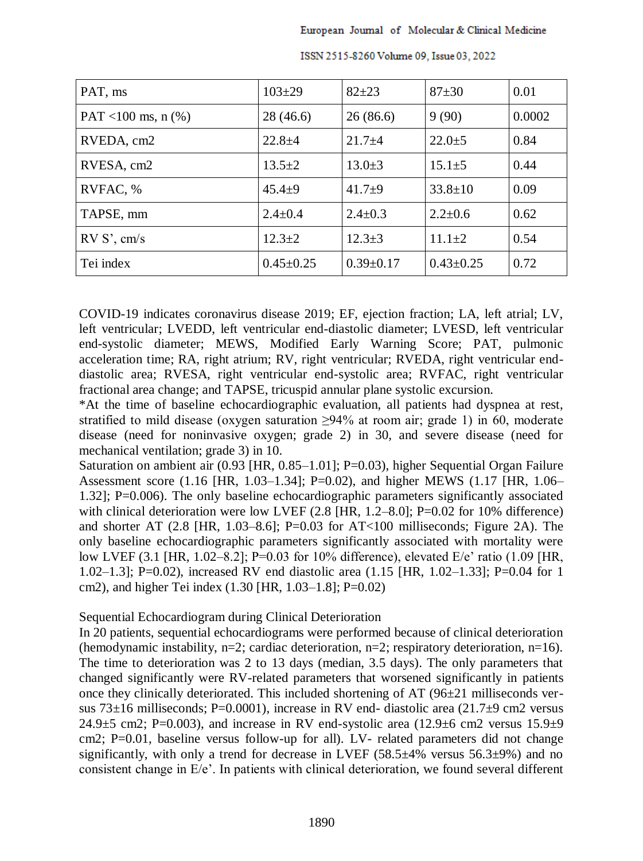| PAT, ms                | $103 \pm 29$    | $82 + 23$       | $87 + 30$       | 0.01   |
|------------------------|-----------------|-----------------|-----------------|--------|
| PAT <100 ms, n $(\% )$ | 28(46.6)        | 26(86.6)        | 9(90)           | 0.0002 |
| RVEDA, cm2             | $22.8 + 4$      | $21.7 + 4$      | $22.0 \pm 5$    | 0.84   |
| RVESA, cm2             | $13.5 \pm 2$    | $13.0 \pm 3$    | $15.1 \pm 5$    | 0.44   |
| RVFAC, %               | $45.4 \pm 9$    | $41.7+9$        | $33.8 \pm 10$   | 0.09   |
| TAPSE, mm              | $2.4 \pm 0.4$   | $2.4 \pm 0.3$   | $2.2 \pm 0.6$   | 0.62   |
| RVS', cm/s             | $12.3+2$        | $12.3 \pm 3$    | $11.1 \pm 2$    | 0.54   |
| Tei index              | $0.45 \pm 0.25$ | $0.39 \pm 0.17$ | $0.43 \pm 0.25$ | 0.72   |

ISSN 2515-8260 Volume 09, Issue 03, 2022

COVID-19 indicates coronavirus disease 2019; EF, ejection fraction; LA, left atrial; LV, left ventricular; LVEDD, left ventricular end-diastolic diameter; LVESD, left ventricular end-systolic diameter; MEWS, Modified Early Warning Score; PAT, pulmonic acceleration time; RA, right atrium; RV, right ventricular; RVEDA, right ventricular enddiastolic area; RVESA, right ventricular end-systolic area; RVFAC, right ventricular fractional area change; and TAPSE, tricuspid annular plane systolic excursion.

\*At the time of baseline echocardiographic evaluation, all patients had dyspnea at rest, stratified to mild disease (oxygen saturation  $\geq 94\%$  at room air; grade 1) in 60, moderate disease (need for noninvasive oxygen; grade 2) in 30, and severe disease (need for mechanical ventilation; grade 3) in 10.

Saturation on ambient air (0.93 [HR, 0.85–1.01]; P=0.03), higher Sequential Organ Failure Assessment score (1.16 [HR, 1.03–1.34]; P=0.02), and higher MEWS (1.17 [HR, 1.06– 1.32]; P=0.006). The only baseline echocardiographic parameters significantly associated with clinical deterioration were low LVEF (2.8 [HR, 1.2–8.0]; P=0.02 for 10% difference) and shorter AT (2.8 [HR, 1.03–8.6]; P=0.03 for AT<100 milliseconds; Figure 2A). The only baseline echocardiographic parameters significantly associated with mortality were low LVEF (3.1 [HR, 1.02–8.2]; P=0.03 for 10% difference), elevated E/e' ratio (1.09 [HR, 1.02–1.3]; P=0.02), increased RV end diastolic area (1.15 [HR, 1.02–1.33]; P=0.04 for 1 cm2), and higher Tei index (1.30 [HR, 1.03–1.8]; P=0.02)

### Sequential Echocardiogram during Clinical Deterioration

In 20 patients, sequential echocardiograms were performed because of clinical deterioration (hemodynamic instability, n=2; cardiac deterioration, n=2; respiratory deterioration, n=16). The time to deterioration was 2 to 13 days (median, 3.5 days). The only parameters that changed significantly were RV-related parameters that worsened significantly in patients once they clinically deteriorated. This included shortening of  $AT(96\pm21)$  milliseconds versus 73 $\pm$ 16 milliseconds; P=0.0001), increase in RV end- diastolic area (21.7 $\pm$ 9 cm2 versus 24.9 $\pm$ 5 cm2; P=0.003), and increase in RV end-systolic area (12.9 $\pm$ 6 cm2 versus 15.9 $\pm$ 9 cm2; P=0.01, baseline versus follow-up for all). LV- related parameters did not change significantly, with only a trend for decrease in LVEF  $(58.5\pm4\%$  versus  $56.3\pm9\%$ ) and no consistent change in E/e'. In patients with clinical deterioration, we found several different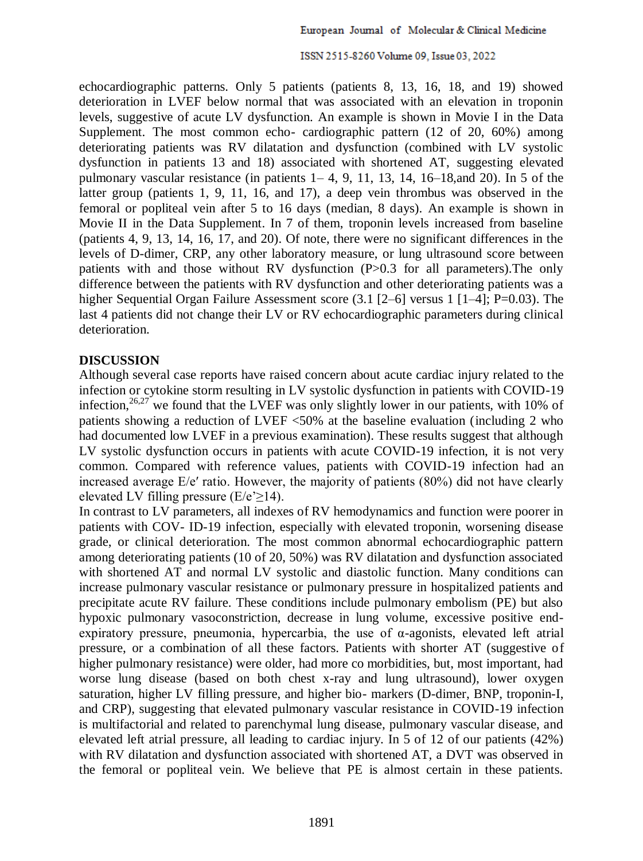echocardiographic patterns. Only 5 patients (patients 8, 13, 16, 18, and 19) showed deterioration in LVEF below normal that was associated with an elevation in troponin levels, suggestive of acute LV dysfunction. An example is shown in Movie I in the Data Supplement. The most common echo- cardiographic pattern (12 of 20, 60%) among deteriorating patients was RV dilatation and dysfunction (combined with LV systolic dysfunction in patients 13 and 18) associated with shortened AT, suggesting elevated pulmonary vascular resistance (in patients  $1-4$ , 9, 11, 13, 14, 16–18, and 20). In 5 of the latter group (patients 1, 9, 11, 16, and 17), a deep vein thrombus was observed in the femoral or popliteal vein after 5 to 16 days (median, 8 days). An example is shown in Movie II in the Data Supplement. In 7 of them, troponin levels increased from baseline (patients 4, 9, 13, 14, 16, 17, and 20). Of note, there were no significant differences in the levels of D-dimer, CRP, any other laboratory measure, or lung ultrasound score between patients with and those without RV dysfunction (P>0.3 for all parameters).The only difference between the patients with RV dysfunction and other deteriorating patients was a higher Sequential Organ Failure Assessment score (3.1 [2–6] versus 1 [1–4]; P=0.03). The last 4 patients did not change their LV or RV echocardiographic parameters during clinical deterioration.

### **DISCUSSION**

Although several case reports have raised concern about acute cardiac injury related to the infection or cytokine storm resulting in LV systolic dysfunction in patients with COVID-19 infection,<sup>26,27</sup> we found that the LVEF was only slightly lower in our patients, with 10% of patients showing a reduction of LVEF <50% at the baseline evaluation (including 2 who had documented low LVEF in a previous examination). These results suggest that although LV systolic dysfunction occurs in patients with acute COVID-19 infection, it is not very common. Compared with reference values, patients with COVID-19 infection had an increased average E/e′ ratio. However, the majority of patients (80%) did not have clearly elevated LV filling pressure (E/e' $\geq$ 14).

In contrast to LV parameters, all indexes of RV hemodynamics and function were poorer in patients with COV- ID-19 infection, especially with elevated troponin, worsening disease grade, or clinical deterioration. The most common abnormal echocardiographic pattern among deteriorating patients (10 of 20, 50%) was RV dilatation and dysfunction associated with shortened AT and normal LV systolic and diastolic function. Many conditions can increase pulmonary vascular resistance or pulmonary pressure in hospitalized patients and precipitate acute RV failure. These conditions include pulmonary embolism (PE) but also hypoxic pulmonary vasoconstriction, decrease in lung volume, excessive positive endexpiratory pressure, pneumonia, hypercarbia, the use of α-agonists, elevated left atrial pressure, or a combination of all these factors. Patients with shorter AT (suggestive of higher pulmonary resistance) were older, had more co morbidities, but, most important, had worse lung disease (based on both chest x-ray and lung ultrasound), lower oxygen saturation, higher LV filling pressure, and higher bio- markers (D-dimer, BNP, troponin-I, and CRP), suggesting that elevated pulmonary vascular resistance in COVID-19 infection is multifactorial and related to parenchymal lung disease, pulmonary vascular disease, and elevated left atrial pressure, all leading to cardiac injury. In 5 of 12 of our patients (42%) with RV dilatation and dysfunction associated with shortened AT, a DVT was observed in the femoral or popliteal vein. We believe that PE is almost certain in these patients.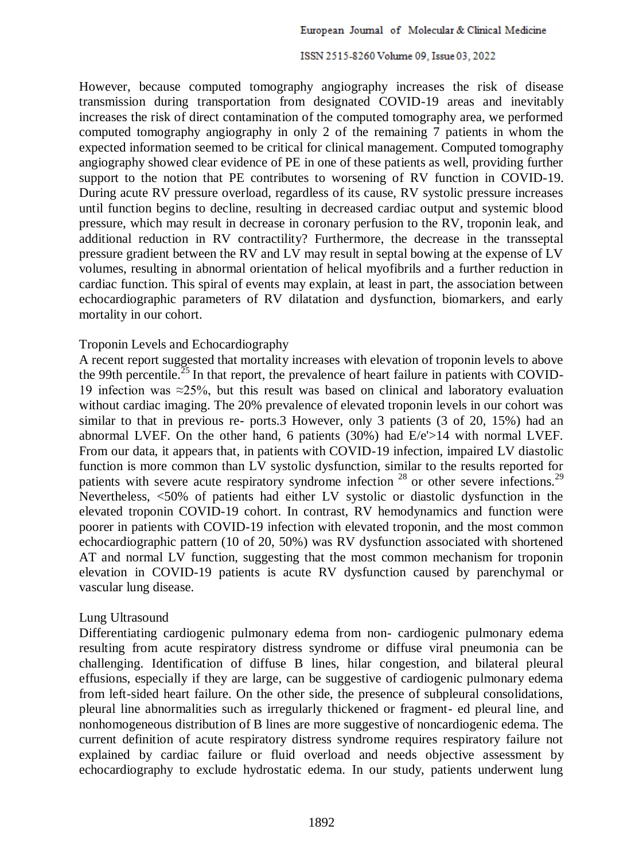However, because computed tomography angiography increases the risk of disease transmission during transportation from designated COVID-19 areas and inevitably increases the risk of direct contamination of the computed tomography area, we performed computed tomography angiography in only 2 of the remaining 7 patients in whom the expected information seemed to be critical for clinical management. Computed tomography angiography showed clear evidence of PE in one of these patients as well, providing further support to the notion that PE contributes to worsening of RV function in COVID-19. During acute RV pressure overload, regardless of its cause, RV systolic pressure increases until function begins to decline, resulting in decreased cardiac output and systemic blood pressure, which may result in decrease in coronary perfusion to the RV, troponin leak, and additional reduction in RV contractility? Furthermore, the decrease in the transseptal pressure gradient between the RV and LV may result in septal bowing at the expense of LV volumes, resulting in abnormal orientation of helical myofibrils and a further reduction in cardiac function. This spiral of events may explain, at least in part, the association between echocardiographic parameters of RV dilatation and dysfunction, biomarkers, and early mortality in our cohort.

### Troponin Levels and Echocardiography

A recent report suggested that mortality increases with elevation of troponin levels to above the 99th percentile.<sup>25</sup> In that report, the prevalence of heart failure in patients with COVID-19 infection was ≈25%, but this result was based on clinical and laboratory evaluation without cardiac imaging. The 20% prevalence of elevated troponin levels in our cohort was similar to that in previous re- ports.3 However, only 3 patients (3 of 20, 15%) had an abnormal LVEF. On the other hand, 6 patients (30%) had E/e'>14 with normal LVEF. From our data, it appears that, in patients with COVID-19 infection, impaired LV diastolic function is more common than LV systolic dysfunction, similar to the results reported for patients with severe acute respiratory syndrome infection  $^{28}$  or other severe infections.<sup>29</sup> Nevertheless, <50% of patients had either LV systolic or diastolic dysfunction in the elevated troponin COVID-19 cohort. In contrast, RV hemodynamics and function were poorer in patients with COVID-19 infection with elevated troponin, and the most common echocardiographic pattern (10 of 20, 50%) was RV dysfunction associated with shortened AT and normal LV function, suggesting that the most common mechanism for troponin elevation in COVID-19 patients is acute RV dysfunction caused by parenchymal or vascular lung disease.

### Lung Ultrasound

Differentiating cardiogenic pulmonary edema from non- cardiogenic pulmonary edema resulting from acute respiratory distress syndrome or diffuse viral pneumonia can be challenging. Identification of diffuse B lines, hilar congestion, and bilateral pleural effusions, especially if they are large, can be suggestive of cardiogenic pulmonary edema from left-sided heart failure. On the other side, the presence of subpleural consolidations, pleural line abnormalities such as irregularly thickened or fragment- ed pleural line, and nonhomogeneous distribution of B lines are more suggestive of noncardiogenic edema. The current definition of acute respiratory distress syndrome requires respiratory failure not explained by cardiac failure or fluid overload and needs objective assessment by echocardiography to exclude hydrostatic edema. In our study, patients underwent lung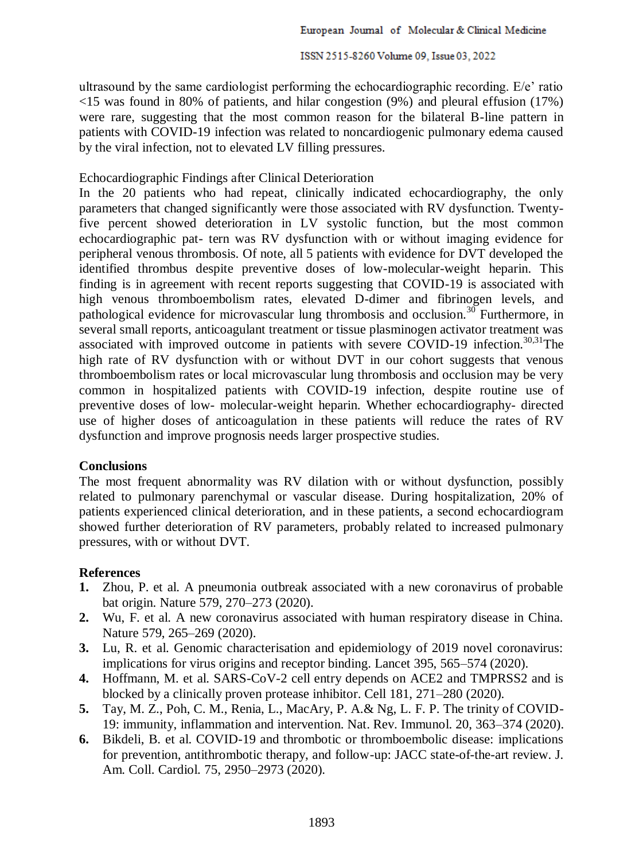ultrasound by the same cardiologist performing the echocardiographic recording. E/e' ratio <15 was found in 80% of patients, and hilar congestion (9%) and pleural effusion (17%) were rare, suggesting that the most common reason for the bilateral B-line pattern in patients with COVID-19 infection was related to noncardiogenic pulmonary edema caused by the viral infection, not to elevated LV filling pressures.

## Echocardiographic Findings after Clinical Deterioration

In the 20 patients who had repeat, clinically indicated echocardiography, the only parameters that changed significantly were those associated with RV dysfunction. Twentyfive percent showed deterioration in LV systolic function, but the most common echocardiographic pat- tern was RV dysfunction with or without imaging evidence for peripheral venous thrombosis. Of note, all 5 patients with evidence for DVT developed the identified thrombus despite preventive doses of low-molecular-weight heparin. This finding is in agreement with recent reports suggesting that COVID-19 is associated with high venous thromboembolism rates, elevated D-dimer and fibrinogen levels, and pathological evidence for microvascular lung thrombosis and occlusion.<sup>30</sup> Furthermore, in several small reports, anticoagulant treatment or tissue plasminogen activator treatment was associated with improved outcome in patients with severe COVID-19 infection.<sup>30,31</sup>The high rate of RV dysfunction with or without DVT in our cohort suggests that venous thromboembolism rates or local microvascular lung thrombosis and occlusion may be very common in hospitalized patients with COVID-19 infection, despite routine use of preventive doses of low- molecular-weight heparin. Whether echocardiography- directed use of higher doses of anticoagulation in these patients will reduce the rates of RV dysfunction and improve prognosis needs larger prospective studies.

## **Conclusions**

The most frequent abnormality was RV dilation with or without dysfunction, possibly related to pulmonary parenchymal or vascular disease. During hospitalization, 20% of patients experienced clinical deterioration, and in these patients, a second echocardiogram showed further deterioration of RV parameters, probably related to increased pulmonary pressures, with or without DVT.

## **References**

- **1.** Zhou, P. et al. A pneumonia outbreak associated with a new coronavirus of probable bat origin. Nature 579, 270–273 (2020).
- **2.** Wu, F. et al. A new coronavirus associated with human respiratory disease in China. Nature 579, 265–269 (2020).
- **3.** Lu, R. et al. Genomic characterisation and epidemiology of 2019 novel coronavirus: implications for virus origins and receptor binding. Lancet 395, 565–574 (2020).
- **4.** Hoffmann, M. et al. SARS-CoV-2 cell entry depends on ACE2 and TMPRSS2 and is blocked by a clinically proven protease inhibitor. Cell 181, 271–280 (2020).
- **5.** Tay, M. Z., Poh, C. M., Renia, L., MacAry, P. A.& Ng, L. F. P. The trinity of COVID-19: immunity, inflammation and intervention. Nat. Rev. Immunol. 20, 363–374 (2020).
- **6.** Bikdeli, B. et al. COVID-19 and thrombotic or thromboembolic disease: implications for prevention, antithrombotic therapy, and follow-up: JACC state-of-the-art review. J. Am. Coll. Cardiol. 75, 2950–2973 (2020).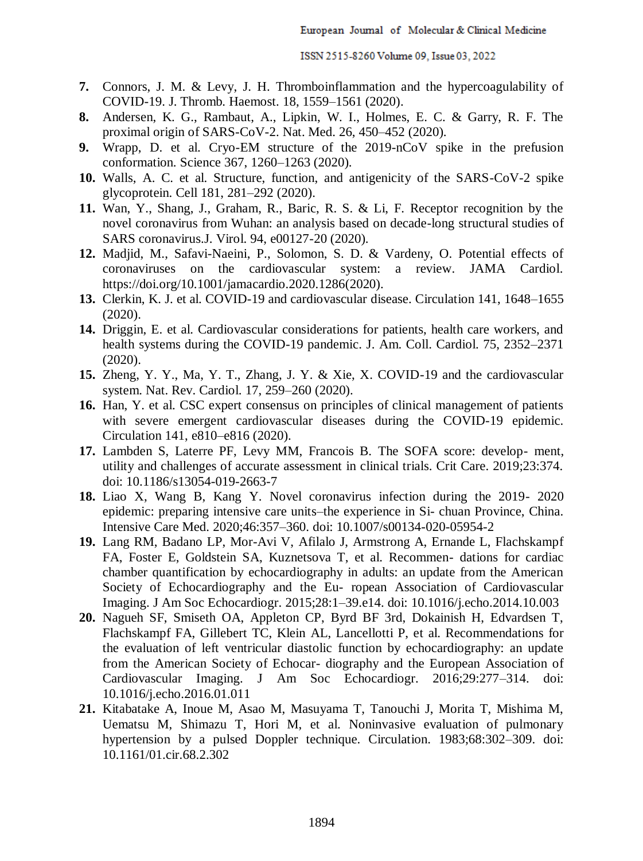- **7.** Connors, J. M. & Levy, J. H. Thromboinflammation and the hypercoagulability of COVID-19. J. Thromb. Haemost. 18, 1559–1561 (2020).
- **8.** Andersen, K. G., Rambaut, A., Lipkin, W. I., Holmes, E. C. & Garry, R. F. The proximal origin of SARS-CoV-2. Nat. Med. 26, 450–452 (2020).
- **9.** Wrapp, D. et al. Cryo-EM structure of the 2019-nCoV spike in the prefusion conformation. Science 367, 1260–1263 (2020).
- **10.** Walls, A. C. et al. Structure, function, and antigenicity of the SARS-CoV-2 spike glycoprotein. Cell 181, 281–292 (2020).
- **11.** Wan, Y., Shang, J., Graham, R., Baric, R. S. & Li, F. Receptor recognition by the novel coronavirus from Wuhan: an analysis based on decade-long structural studies of SARS coronavirus.J. Virol. 94, e00127-20 (2020).
- **12.** Madjid, M., Safavi-Naeini, P., Solomon, S. D. & Vardeny, O. Potential effects of coronaviruses on the cardiovascular system: a review. JAMA Cardiol. [https://doi.org/10.1001/jamacardio.2020.1286\(](https://doi.org/10.1001/jamacardio.2020.1286)2020).
- **13.** Clerkin, K. J. et al. COVID-19 and cardiovascular disease. Circulation 141, 1648–1655 (2020).
- **14.** Driggin, E. et al. Cardiovascular considerations for patients, health care workers, and health systems during the COVID-19 pandemic. J. Am. Coll. Cardiol. 75, 2352–2371 (2020).
- **15.** Zheng, Y. Y., Ma, Y. T., Zhang, J. Y. & Xie, X. COVID-19 and the cardiovascular system. Nat. Rev. Cardiol. 17, 259–260 (2020).
- **16.** Han, Y. et al. CSC expert consensus on principles of clinical management of patients with severe emergent cardiovascular diseases during the COVID-19 epidemic. Circulation 141, e810–e816 (2020).
- **17.** Lambden S, Laterre PF, Levy MM, Francois B. The SOFA score: develop- ment, utility and challenges of accurate assessment in clinical trials. Crit Care. 2019;23:374. doi: 10.1186/s13054-019-2663-7
- **18.** Liao X, Wang B, Kang Y. Novel coronavirus infection during the 2019- 2020 epidemic: preparing intensive care units–the experience in Si- chuan Province, China. Intensive Care Med. 2020;46:357–360. doi: 10.1007/s00134-020-05954-2
- **19.** Lang RM, Badano LP, Mor-Avi V, Afilalo J, Armstrong A, Ernande L, Flachskampf FA, Foster E, Goldstein SA, Kuznetsova T, et al. Recommen- dations for cardiac chamber quantification by echocardiography in adults: an update from the American Society of Echocardiography and the Eu- ropean Association of Cardiovascular Imaging. J Am Soc Echocardiogr. 2015;28:1–39.e14. doi: 10.1016/j.echo.2014.10.003
- **20.** Nagueh SF, Smiseth OA, Appleton CP, Byrd BF 3rd, Dokainish H, Edvardsen T, Flachskampf FA, Gillebert TC, Klein AL, Lancellotti P, et al. Recommendations for the evaluation of left ventricular diastolic function by echocardiography: an update from the American Society of Echocar- diography and the European Association of Cardiovascular Imaging. J Am Soc Echocardiogr. 2016;29:277–314. doi: 10.1016/j.echo.2016.01.011
- **21.** Kitabatake A, Inoue M, Asao M, Masuyama T, Tanouchi J, Morita T, Mishima M, Uematsu M, Shimazu T, Hori M, et al. Noninvasive evaluation of pulmonary hypertension by a pulsed Doppler technique. Circulation. 1983;68:302–309. doi: 10.1161/01.cir.68.2.302